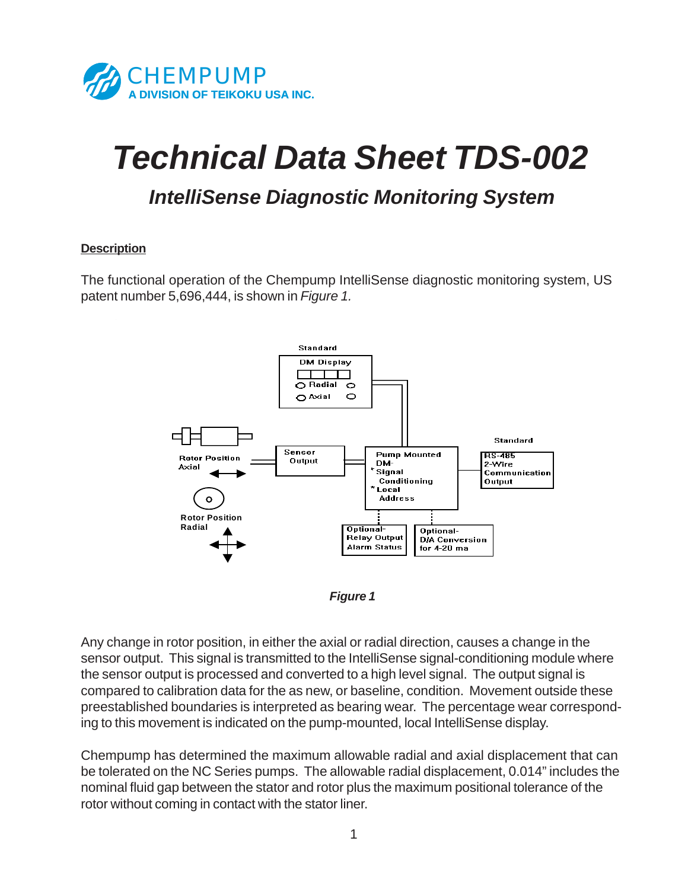

# *Technical Data Sheet TDS-002*

## *IntelliSense Diagnostic Monitoring System*

#### **Description**

The functional operation of the Chempump IntelliSense diagnostic monitoring system, US patent number 5,696,444, is shown in *Figure 1.*





Any change in rotor position, in either the axial or radial direction, causes a change in the sensor output. This signal is transmitted to the IntelliSense signal-conditioning module where the sensor output is processed and converted to a high level signal. The output signal is compared to calibration data for the as new, or baseline, condition. Movement outside these preestablished boundaries is interpreted as bearing wear. The percentage wear corresponding to this movement is indicated on the pump-mounted, local IntelliSense display.

Chempump has determined the maximum allowable radial and axial displacement that can be tolerated on the NC Series pumps. The allowable radial displacement, 0.014" includes the nominal fluid gap between the stator and rotor plus the maximum positional tolerance of the rotor without coming in contact with the stator liner.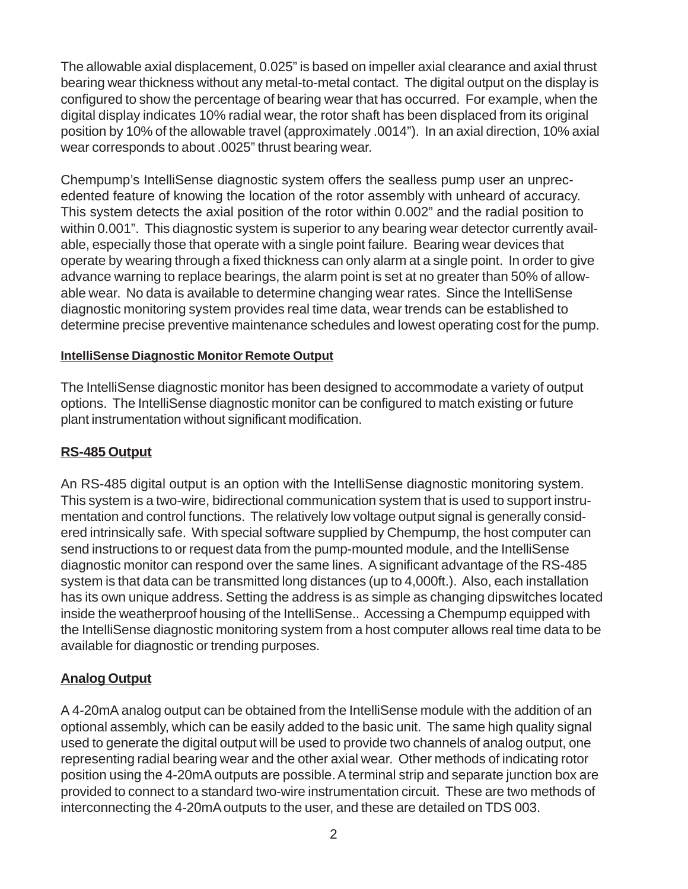The allowable axial displacement, 0.025" is based on impeller axial clearance and axial thrust bearing wear thickness without any metal-to-metal contact. The digital output on the display is configured to show the percentage of bearing wear that has occurred. For example, when the digital display indicates 10% radial wear, the rotor shaft has been displaced from its original position by 10% of the allowable travel (approximately .0014"). In an axial direction, 10% axial wear corresponds to about .0025" thrust bearing wear.

Chempump's IntelliSense diagnostic system offers the sealless pump user an unprecedented feature of knowing the location of the rotor assembly with unheard of accuracy. This system detects the axial position of the rotor within 0.002" and the radial position to within 0.001". This diagnostic system is superior to any bearing wear detector currently available, especially those that operate with a single point failure. Bearing wear devices that operate by wearing through a fixed thickness can only alarm at a single point. In order to give advance warning to replace bearings, the alarm point is set at no greater than 50% of allowable wear. No data is available to determine changing wear rates. Since the IntelliSense diagnostic monitoring system provides real time data, wear trends can be established to determine precise preventive maintenance schedules and lowest operating cost for the pump.

#### **IntelliSense Diagnostic Monitor Remote Output**

The IntelliSense diagnostic monitor has been designed to accommodate a variety of output options. The IntelliSense diagnostic monitor can be configured to match existing or future plant instrumentation without significant modification.

#### **RS-485 Output**

An RS-485 digital output is an option with the IntelliSense diagnostic monitoring system. This system is a two-wire, bidirectional communication system that is used to support instrumentation and control functions. The relatively low voltage output signal is generally considered intrinsically safe. With special software supplied by Chempump, the host computer can send instructions to or request data from the pump-mounted module, and the IntelliSense diagnostic monitor can respond over the same lines. A significant advantage of the RS-485 system is that data can be transmitted long distances (up to 4,000ft.). Also, each installation has its own unique address. Setting the address is as simple as changing dipswitches located inside the weatherproof housing of the IntelliSense.. Accessing a Chempump equipped with the IntelliSense diagnostic monitoring system from a host computer allows real time data to be available for diagnostic or trending purposes.

### **Analog Output**

A 4-20mA analog output can be obtained from the IntelliSense module with the addition of an optional assembly, which can be easily added to the basic unit. The same high quality signal used to generate the digital output will be used to provide two channels of analog output, one representing radial bearing wear and the other axial wear. Other methods of indicating rotor position using the 4-20mA outputs are possible. A terminal strip and separate junction box are provided to connect to a standard two-wire instrumentation circuit. These are two methods of interconnecting the 4-20mA outputs to the user, and these are detailed on TDS 003.